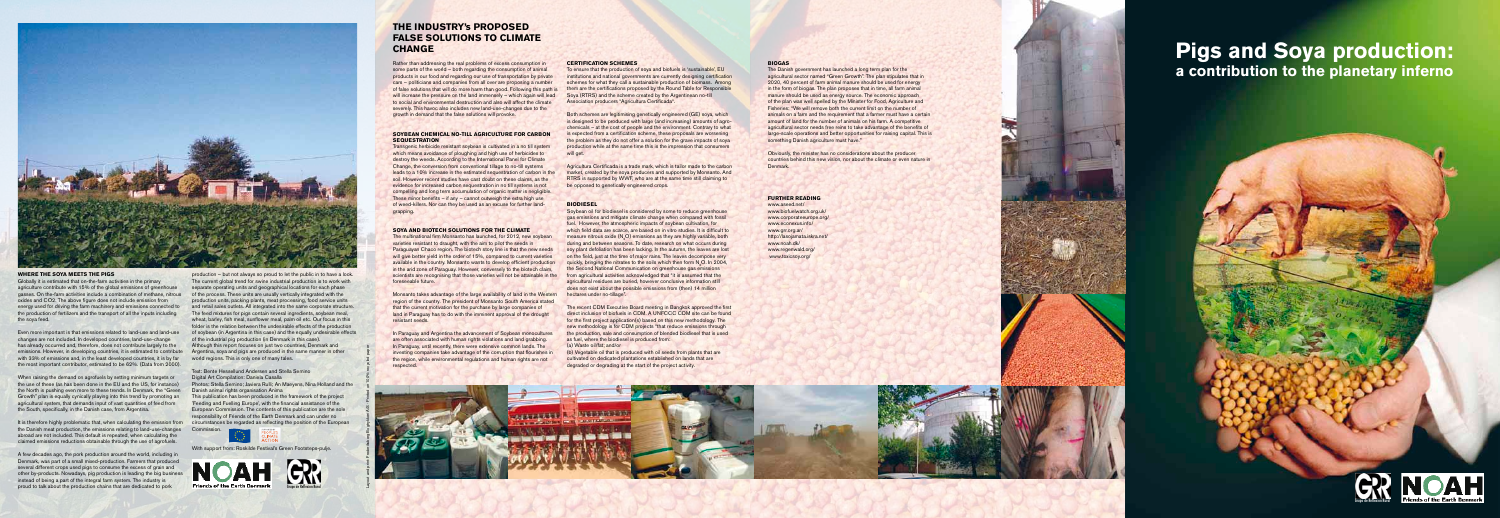## **THE INDUSTRY's PROPOSED FALSE SOLUTIONS TO CLIMATE CHANGE**

Rather than addressing the real problems of excess consumption in some parts of the world – both regarding the consumption of animal products in our food and regarding our use of transportation by private cars – politicians and companies from all over are proposing a number of false solutions that will do more harm than good. Following this path is will increase the pressure on the land immensely – which again will lead to social and environmental destruction and also will affect the climate severely. This havoc also includes new land-use-changes due to the growth in demand that the false solutions will provoke.

### **SOYBEAN CHEMICAL NO-TILL AGRICULTURE FOR CARBON SEQUESTRATION**

Transgenic herbicide resistant soybean is cultivated in a no till system which means avoidance of ploughing and high use of herbicides to destroy the weeds. According to the International Panel for Climate Change, the conversion from conventional tillage to no-till systems leads to a 10% increase in the estimated sequestration of carbon in the soil. However recent studies have cast doubt on these claims, as the evidence for increased carbon sequestration in no till systems is not compelling and long term accumulation of organic matter is negligible. These minor benefits – if any – cannot outweigh the extra high use of weed-killers. Nor can they be used as an excuse for further landgrapping.

**In Paraguay and Argentina the advancement of Soybean monocultures** are often associated with human rights violations and land grabbing. **In Paraguay, until recently, there were extensive common lands. The** investing companies take advantage of the corruption that flourishes in the region, while environmental regulations and human rights are not respected.

### **SOYA AND BIOTECH SOLUTIONS FOR THE CLIMATE**

Both schemes are legitimising genetically engineered (GE) soya, which is designed to be produced with large (and increasing) amounts of agrochemicals – at the cost of people and the environment. Contrary to what is expected from a certification scheme, these proposals are worsening the problem as they do not offer a solution for the grave impacts of soya production while at the same time this is the impression that consumers will get.

The multinational firm Monsanto has launched, for 2012, new soybean varieties resistant to draught, with the aim to pilot the seeds in Paraguayan Chaco region. The biotech story line is that the new seeds will give better yield in the order of 15%, compared to current varieties available in the country. Monsanto wants to develop efficient production in the arid zone of Paraguay. However, conversely to the biotech claim, scientists are recognising that those varieties will not be attainable in the foreseeable future.

Monsanto takes advantage of the large availability of land in the Western region of the country. The president of Monsanto South America stated that the current motivation for the purchase by large companies of land in Paraguay has to do with the imminent approval of the drought resistant seeds.

Soybean oil for biodiesel is considered by some to reduce greenhouse gas emissions and mitigate climate change when compared with fossil fuel. However, the atmospheric impacts of soybean cultivation, for which field data are scarce, are based on in vitro studies. It is difficult to measure nitrous oxide (N <sup>2</sup>O) emissions as they are highly variable, both during and between seasons. To date, research on what occurs during soy plant defoliation has been lacking. In the autumn, the leaves are lost on the field, just at the time of major rains. The leaves decompose very quickly, bringing the nitrates to the soils which then form N 2O. In 2004, the Second National Communication on greenhouse gas emissions from agricultural activities acknowledged that "it is assumed that the agricultural residues are buried, however conclusive information still does not exist about the possible emissions from (then) 14 million hectares under no-tillage".

The recent CDM Executive Board meeting in Bangkok approved the first direct inclusion of biofuels in CDM. A UNFCCC CDM site can be found for the first project application(s) based on this new methodology. The new methodology is for CDM projects "that reduce emissions through the production, sale and consumption of blended biodiesel that is used as fuel, where the biodiesel is produced from:

### **CERTIFICATION SCHEMES**

To ensure that the production of soya and biofuels is 'sustainable', EU institutions and national governments are currently designing certification schemes for what they call a sustainable production of biomass. Among them are the certifications proposed by the Round Table for Responsible Soya (RTRS) and the scheme created by the Argentinean no-till Association producers "Agricultura Certificada".

Agricultura Certificada is a trade mark, which is tailor made to the carbon market, created by the soya producers and supported by Monsanto. And RTRS is supported by WWF, who are at the same time still claiming to be opposed to genetically engineered crops.

### **BIODIESEL**

It is therefore highly problematic that, when calculating the emission from the Danish meat production, the emissions relating to land-use-changes abroad are not included. This default is repeated, when calculating the claimed emissions reductions obtainable through the use of agrofuels.

This publication has been produced in the framework of the project 'Feeding and Fuelling Europe', with the financial assistance of the European Commission. The contents of this publication are the sole responsibility of Friends of the Earth Denmark and can under no circumstances be regarded as reflecting the position of the European Commis



ival's Green Footsteps-pulie



(a) Waste oil/fat; and/or

(b) Vegetable oil that is produced with oil seeds from plants that are cultivated on dedicated plantations established on lands that are degraded or degrading at the start of the project activity.

### **BIOGAS**

The Danish government has launched a long term plan for the agricultural sector named "Green Growth". The plan stipulates that in 2020, 40 percent of farm animal manure should be used for energy in the form of biogas. The plan proposes that in time, all farm animal manure should be used as energy source. The economic approach of the plan was well spelled by the Minister for Food, Agriculture and Fisheries: "We will remove both the current limit on the number of animals on a farm and the requirement that a farmer must have a certain amount of land for the number of animals on his farm. A competitive agricultural sector needs free reins to take advantage of the benefits of large-scale operations and better opportunities for raising capital. This is something Danish agriculture must have."

Obviously, the minister has no considerations about the producer countries behind this new vision, nor about the climate or even nature in Denmark.

### **Further reading**

www.aseed.net/ www.biofuelwatch.org.uk/ www.corporateeurope.org/ www.econexus.info/ www.grr.org.ar/ http://lasojamata.iskra.net/ www.noah.dk/ www.regenwald.org/ www.toxicsoy.org/

# **Pigs and Soya production: a contribution to the planetary inferno**



### **WHERE THE SOYA MEETS THE PIGS**

Globally it is estimated that on-the-farm activities in the primary agriculture contribute with 15% of the global emissions of greenhouse gasses. On the-farm activities include a combination of methane, nitrous oxides and CO2. The above figure does not include emission from energy used for driving the farm machinery and emissions connected to the production of fertilizers and the transport of all the inputs including the soya feed.

Even more important is that emissions related to land-use and land-use changes are not included. In developed countries, land-use-change has already occurred and, therefore, does not contribute largely to the emissions. However, in developing countries, it is estimated to contribute with 33% of emissions and, in the least developed countries, it is by far the most important contributor, estimated to be 62%. (Data from 2000).

When raising the demand on agrofuels by setting minimum targets or the use of these (as has been done in the EU and the US, for instance) the North is pushing even more to these trends. In Denmark, the "Green Growth" plan is equally cynically playing into this trend by promoting an agricultural system, that demands input of vast quantities of feed from the South, specifically, in the Danish case, from Argentina.

A few decades ago, the pork production around the world, including in Denmark, was part of a small mixed-production. Farmers that produced several different crops used pigs to consume the excess of grain and other by-products. Nowadays, pig production is leading the big business instead of being a part of the integral farm system. The industry is proud to talk about the production chains that are dedicated to pork

production – but not always so proud to let the public in to have a look. The current global trend for swine industrial production is to work with separate operating units and geographical locations for each phase of the process. These units are usually vertically integrated with the production units, packing plants, meat processing, food service units and retail sales outlets. All integrated into the same corporate structure. The feed mixtures for pigs contain several ingredients, soybean meal, wheat, barley, fish meal, sunflower meal, palm oil etc. Our focus in this folder is the relation between the undesirable effects of the production of soybean (in Argentina in this case) and the equally undesirable effects of the industrial pig production (in Denmark in this case). Although this report focuses on just two countries, Denmark and Argentina, soya and pigs are produced in the same manner in other world regions. This is only one of many tales.

### Text: Bente Hessellund Andersen and Stella Semino Digital Art Compilation: Daniela Casalla

Photos: Stella Semino; Javiera Rulli; An Maeyens, Nina Holland and the Danish animal rights organisation Anima